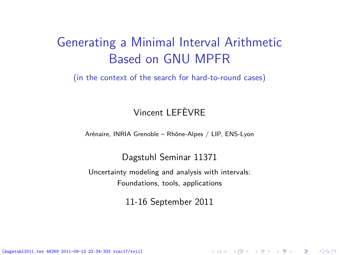## Generating a Minimal Interval Arithmetic Based on GNU MPFR

(in the context of the search for hard-to-round cases)

#### Vincent LEFÈVRE

Arénaire, INRIA Grenoble – Rhône-Alpes / LIP, ENS-Lyon

#### Dagstuhl Seminar 11371

Uncertainty modeling and analysis with intervals: Foundations, tools, applications

<span id="page-0-0"></span>11-16 September 2011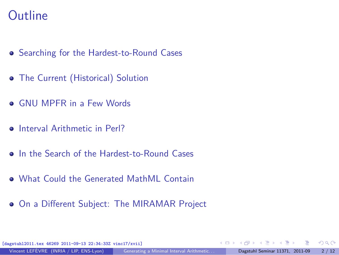#### **Outline**

- [Searching for the Hardest-to-Round Cases](#page-2-0)
- [The Current \(Historical\) Solution](#page-6-0)
- **GNU MPFR** in a Few Words
- **o** [Interval Arithmetic in Perl?](#page-8-0)
- [In the Search of the Hardest-to-Round Cases](#page-9-0)
- [What Could the Generated MathML Contain](#page-10-0)
- [On a Different Subject: The MIRAMAR Project](#page-11-0)

[dagstuhl2011.tex 46269 2011-09-13 22:34:33Z vinc17/xvii]

 $\Omega$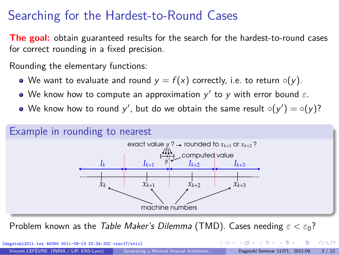## Searching for the Hardest-to-Round Cases

**The goal:** obtain guaranteed results for the search for the hardest-to-round cases for correct rounding in a fixed precision.

Rounding the elementary functions:

- We want to evaluate and round  $y = f(x)$  correctly, i.e. to return  $\circ(y)$ .
- We know how to compute an approximation  $y'$  to  $y$  with error bound  $\varepsilon$ .
- We know how to round  $y'$ , but do we obtain the same result  $\circ(y') = \circ(y)?$



<span id="page-2-0"></span>Problem known as the Table Maker's Dilemma (TMD). Cases needing *ε < ε*0?

| [dagstuhl2011.tex 46269 2011-09-13 22:34:33Z vinc17/xvii] |                                          |  |  | - ← ロ ▶ ← ← 伊 ▶ ← ヨ ▶ ← ヨ ▶ │ ヨ │ ◆ つく(^ |
|-----------------------------------------------------------|------------------------------------------|--|--|------------------------------------------|
| Vincent LEFÈVRE (INRIA / LIP, ENS-Lyon)                   | Generating a Minimal Interval Arithmetic |  |  | Dagstuhl Seminar 11371, 2011-09 3 / 12   |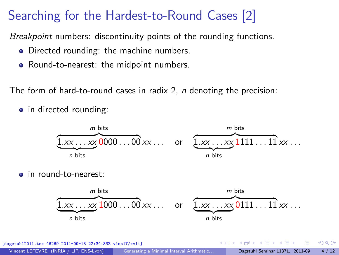# Searching for the Hardest-to-Round Cases [2]

Breakpoint numbers: discontinuity points of the rounding functions.

- Directed rounding: the machine numbers.
- Round-to-nearest: the midpoint numbers.

The form of hard-to-round cases in radix 2, *n* denoting the precision:

• in directed rounding:



o in round-to-nearest:



[dagstuhl2011.tex 46269 2011-09-13 22:34:33Z vinc17/xvii]  $\Omega$ Vincent LEFÈVRE (INRIA / LIP, ENS-Lyon) Generating a Minimal Interval Arithmetic... Dagstuhl Seminar 11371, 2011-09 4 / 12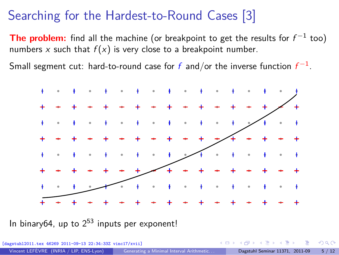## Searching for the Hardest-to-Round Cases [3]

The problem: find all the machine (or breakpoint to get the results for  $f^{-1}$  too) numbers x such that  $f(x)$  is very close to a breakpoint number.

Small segment cut: hard-to-round case for  $f$  and/or the inverse function  $f^{-1}.$ 



In binary64, up to  $2^{53}$  inputs per exponent!

| [dagstuhl2011.tex 46269 2011-09-13 22:34:33Z vinc17/xvii] |                                          |  | - ∢ ロ ▶ ∢ 何 ▶ ∢ ヨ ▶ ∢ ヨ ▶ ・ ヨ ・ イ) Q Q ◇ |  |
|-----------------------------------------------------------|------------------------------------------|--|------------------------------------------|--|
| Vincent LEFÈVRE (INRIA / LIP, ENS-Lyon)                   | Generating a Minimal Interval Arithmetic |  | Dagstuhl Seminar 11371, 2011-09 5 / 12   |  |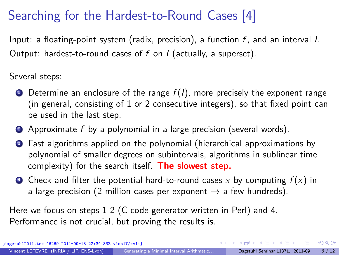# Searching for the Hardest-to-Round Cases [4]

Input: a floating-point system (radix, precision), a function  $f$ , and an interval I. Output: hardest-to-round cases of  $f$  on  $I$  (actually, a superset).

Several steps:

- $\bullet$  Determine an enclosure of the range  $f(I)$ , more precisely the exponent range (in general, consisting of 1 or 2 consecutive integers), so that fixed point can be used in the last step.
- 2 Approximate f by a polynomial in a large precision (several words).
- <sup>3</sup> Fast algorithms applied on the polynomial (hierarchical approximations by polynomial of smaller degrees on subintervals, algorithms in sublinear time complexity) for the search itself. **The slowest step.**
- Check and filter the potential hard-to-round cases x by computing  $f(x)$  in a large precision (2 million cases per exponent  $\rightarrow$  a few hundreds).

Here we focus on steps 1-2 (C code generator written in Perl) and 4. Performance is not crucial, but proving the results is.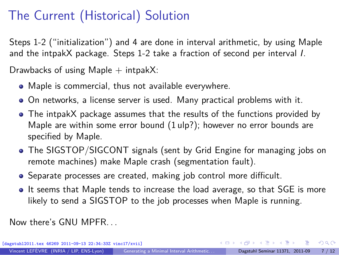# The Current (Historical) Solution

Steps 1-2 ("initialization") and 4 are done in interval arithmetic, by using Maple and the intpakX package. Steps 1-2 take a fraction of second per interval I.

Drawbacks of using Maple  $+$  intpakX:

- Maple is commercial, thus not available everywhere.
- On networks, a license server is used. Many practical problems with it.
- The intpakX package assumes that the results of the functions provided by Maple are within some error bound (1 ulp?); however no error bounds are specified by Maple.
- The SIGSTOP/SIGCONT signals (sent by Grid Engine for managing jobs on remote machines) make Maple crash (segmentation fault).
- Separate processes are created, making job control more difficult.
- <span id="page-6-0"></span>It seems that Maple tends to increase the load average, so that SGE is more likely to send a SIGSTOP to the job processes when Maple is running.

Now there's GNU MPFR. . .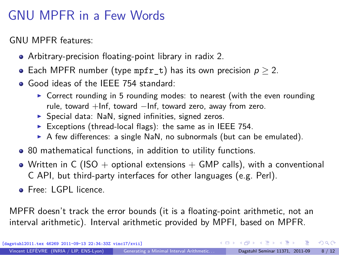# GNU MPFR in a Few Words

GNU MPFR features:

- Arbitrary-precision floating-point library in radix 2.
- Each MPFR number (type mpfr t) has its own precision  $p > 2$ .
- Good ideas of the IEEE 754 standard:
	- $\triangleright$  Correct rounding in 5 rounding modes: to nearest (with the even rounding rule, toward +Inf, toward −Inf, toward zero, away from zero.
	- $\triangleright$  Special data: NaN, signed infinities, signed zeros.
	- Exceptions (thread-local flags): the same as in IEEE 754.
	- $\triangleright$  A few differences: a single NaN, no subnormals (but can be emulated).
- 80 mathematical functions, in addition to utility functions.
- Written in C (ISO + optional extensions + GMP calls), with a conventional C API, but third-party interfaces for other languages (e.g. Perl).
- **o** Free: LGPL licence

MPFR doesn't track the error bounds (it is a floating-point arithmetic, not an interval arithmetic). Interval arithmetic provided by MPFI, based on MPFR.

<span id="page-7-0"></span> $\Omega$ 

 $\left\{ \begin{array}{ccc} \square & \times & \overline{c} & \overline{c} & \rightarrow & \overline{c} & \rightarrow & \overline{c} & \rightarrow & \overline{c} & \rightarrow & \overline{c} & \rightarrow & \overline{c} & \rightarrow & \overline{c} & \rightarrow & \overline{c} & \rightarrow & \overline{c} & \rightarrow & \overline{c} & \rightarrow & \overline{c} & \rightarrow & \overline{c} & \rightarrow & \overline{c} & \rightarrow & \overline{c} & \rightarrow & \overline{c} & \rightarrow & \overline{c} & \rightarrow & \overline{c} & \rightarrow & \overline{c} & \rightarrow & \overline{c} & \rightarrow & \overline{c}$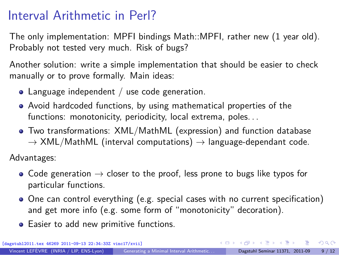#### Interval Arithmetic in Perl?

The only implementation: MPFI bindings Math::MPFI, rather new (1 year old). Probably not tested very much. Risk of bugs?

Another solution: write a simple implementation that should be easier to check manually or to prove formally. Main ideas:

- Language independent / use code generation.
- Avoid hardcoded functions, by using mathematical properties of the functions: monotonicity, periodicity, local extrema, poles...
- Two transformations: XML/MathML (expression) and function database  $\rightarrow$  XML/MathML (interval computations)  $\rightarrow$  language-dependant code.

Advantages:

- Code generation  $\rightarrow$  closer to the proof, less prone to bugs like typos for particular functions.
- One can control everything (e.g. special cases with no current specification) and get more info (e.g. some form of "monotonicity" decoration).

<span id="page-8-0"></span> $\Omega$ 

**•** Easier to add new primitive functions.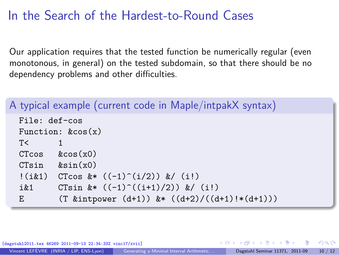## In the Search of the Hardest-to-Round Cases

Our application requires that the tested function be numerically regular (even monotonous, in general) on the tested subdomain, so that there should be no dependency problems and other difficulties.

```
A typical example (current code in Maple/intpakX syntax)
  File: def-cos
  Function: k\cos(x)T< 1
  CTcos &cos(x0)
  C T \sin \ \ \ \ \ \ \ \ \ \ \ \ \ \ \ \!(i\&1) CTcos k* ((-1)^{-(i/2)}) k/(i!)i&1 CTsin (x * ((-1)^(i+1)/2)) (x / (i!)E (T \text{ kintpower } (d+1)) \text{ } k * ((d+2)/((d+1)) * (d+1)))
```
<span id="page-9-0"></span>

| [dagstuhl2011.tex 46269 2011-09-13 22:34:33Z vinc17/xvii] |                                          |  | - K □ ▶ K @ ▶ K 로 ▶ K 로 ▶ - 로 - K) Q (연 |       |
|-----------------------------------------------------------|------------------------------------------|--|-----------------------------------------|-------|
| Vincent LEFÈVRE (INRIA / LIP, ENS-Lyon)                   | Generating a Minimal Interval Arithmetic |  | Dagstuhl Seminar 11371, 2011-09         | 10/12 |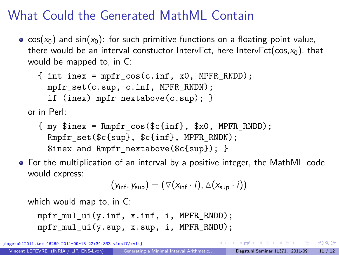# What Could the Generated MathML Contain

•  $cos(x_0)$  and  $sin(x_0)$ : for such primitive functions on a floating-point value, there would be an interval constuctor IntervFct, here IntervFct( $cos, x_0$ ), that would be mapped to, in C:

```
{ int inex = mpfr cos(c.inf, x0, MPFR);
    mpfr set(c.sup, c.inf, MPFR RNDN);if (inex) mpfr nextabove(c.sup); }
or in Perl:
```
- { my \$inex = Rmpfr\_cos(\$c{inf}, \$x0, MPFR\_RNDD); Rmpfr\_set(\$c{sup}, \$c{inf}, MPFR\_RNDN); \$inex and Rmpfr\_nextabove(\$c{sup}); }
- For the multiplication of an interval by a positive integer, the MathML code would express:

$$
(y_{\text{inf}}, y_{\text{sup}}) = (\nabla(x_{\text{inf}} \cdot i), \Delta(x_{\text{sup}} \cdot i))
$$

which would map to, in C:

mpfr\_mul\_ui(y.inf, x.inf, i, MPFR\_RNDD); mpfr\_mul\_ui(y.sup, x.sup, i, MPFR\_RNDU);

[dagstuhl2011.tex 46269 2011-09-13 22:34:33Z vinc17/xvii]

<span id="page-10-0"></span> $\Omega$ 

 $\left\{ \begin{array}{ccc} \square & \times & \overline{c} & \overline{c} & \rightarrow & \overline{c} & \rightarrow & \overline{c} & \rightarrow & \overline{c} & \rightarrow & \overline{c} & \rightarrow & \overline{c} & \rightarrow & \overline{c} & \rightarrow & \overline{c} & \rightarrow & \overline{c} & \rightarrow & \overline{c} & \rightarrow & \overline{c} & \rightarrow & \overline{c} & \rightarrow & \overline{c} & \rightarrow & \overline{c} & \rightarrow & \overline{c} & \rightarrow & \overline{c} & \rightarrow & \overline{c} & \rightarrow & \overline{c} & \rightarrow & \overline{c} & \rightarrow & \overline{c}$